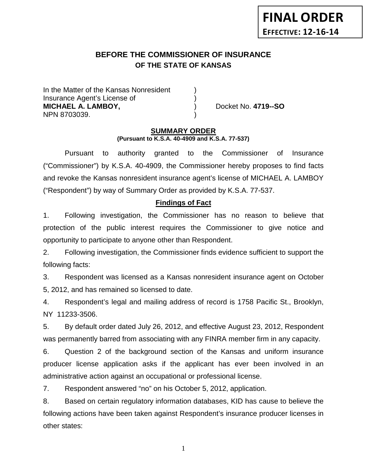# **BEFORE THE COMMISSIONER OF INSURANCE OF THE STATE OF KANSAS**

In the Matter of the Kansas Nonresident Insurance Agent's License of ) **MICHAEL A. LAMBOY,** ) Docket No. **4719--SO** NPN 8703039. )

#### **SUMMARY ORDER (Pursuant to K.S.A. 40-4909 and K.S.A. 77-537)**

Pursuant to authority granted to the Commissioner of Insurance ("Commissioner") by K.S.A. 40-4909, the Commissioner hereby proposes to find facts and revoke the Kansas nonresident insurance agent's license of MICHAEL A. LAMBOY ("Respondent") by way of Summary Order as provided by K.S.A. 77-537.

## **Findings of Fact**

1. Following investigation, the Commissioner has no reason to believe that protection of the public interest requires the Commissioner to give notice and opportunity to participate to anyone other than Respondent.

2. Following investigation, the Commissioner finds evidence sufficient to support the following facts:

3. Respondent was licensed as a Kansas nonresident insurance agent on October 5, 2012, and has remained so licensed to date.

4. Respondent's legal and mailing address of record is 1758 Pacific St., Brooklyn, NY 11233-3506.

5. By default order dated July 26, 2012, and effective August 23, 2012, Respondent was permanently barred from associating with any FINRA member firm in any capacity.

6. Question 2 of the background section of the Kansas and uniform insurance producer license application asks if the applicant has ever been involved in an administrative action against an occupational or professional license.

7. Respondent answered "no" on his October 5, 2012, application.

8. Based on certain regulatory information databases, KID has cause to believe the following actions have been taken against Respondent's insurance producer licenses in other states:

1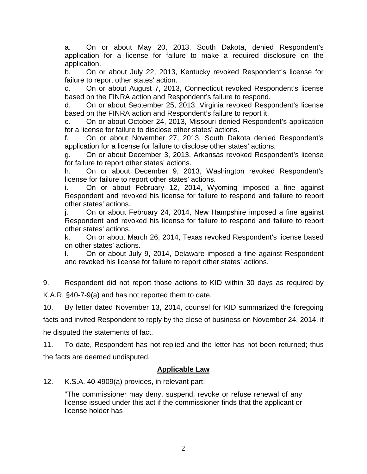a. On or about May 20, 2013, South Dakota, denied Respondent's application for a license for failure to make a required disclosure on the application.

b. On or about July 22, 2013, Kentucky revoked Respondent's license for failure to report other states' action.

c. On or about August 7, 2013, Connecticut revoked Respondent's license based on the FINRA action and Respondent's failure to respond.

d. On or about September 25, 2013, Virginia revoked Respondent's license based on the FINRA action and Respondent's failure to report it.

e. On or about October 24, 2013, Missouri denied Respondent's application for a license for failure to disclose other states' actions.

f. On or about November 27, 2013, South Dakota denied Respondent's application for a license for failure to disclose other states' actions.

g. On or about December 3, 2013, Arkansas revoked Respondent's license for failure to report other states' actions.

h. On or about December 9, 2013, Washington revoked Respondent's license for failure to report other states' actions.

i. On or about February 12, 2014, Wyoming imposed a fine against Respondent and revoked his license for failure to respond and failure to report other states' actions.

j. On or about February 24, 2014, New Hampshire imposed a fine against Respondent and revoked his license for failure to respond and failure to report other states' actions.

k. On or about March 26, 2014, Texas revoked Respondent's license based on other states' actions.

l. On or about July 9, 2014, Delaware imposed a fine against Respondent and revoked his license for failure to report other states' actions.

9. Respondent did not report those actions to KID within 30 days as required by K.A.R. §40-7-9(a) and has not reported them to date.

10. By letter dated November 13, 2014, counsel for KID summarized the foregoing facts and invited Respondent to reply by the close of business on November 24, 2014, if he disputed the statements of fact.

11. To date, Respondent has not replied and the letter has not been returned; thus the facts are deemed undisputed.

## **Applicable Law**

12. K.S.A. 40-4909(a) provides, in relevant part:

"The commissioner may deny, suspend, revoke or refuse renewal of any license issued under this act if the commissioner finds that the applicant or license holder has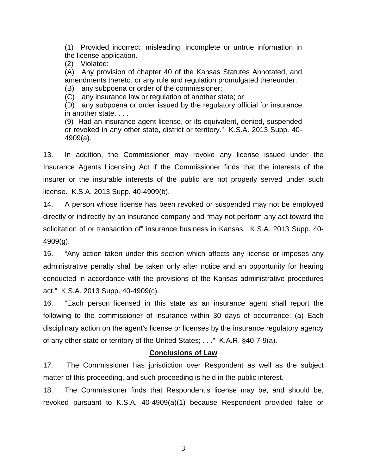(1) Provided incorrect, misleading, incomplete or untrue information in the license application.

(2) Violated:

(A) Any provision of chapter 40 of the Kansas Statutes Annotated, and amendments thereto, or any rule and regulation promulgated thereunder;

(B) any subpoena or order of the commissioner;

(C) any insurance law or regulation of another state; or

(D) any subpoena or order issued by the regulatory official for insurance in another state. . . .

(9) Had an insurance agent license, or its equivalent, denied, suspended or revoked in any other state, district or territory." K.S.A. 2013 Supp. 40- 4909(a).

13. In addition, the Commissioner may revoke any license issued under the Insurance Agents Licensing Act if the Commissioner finds that the interests of the insurer or the insurable interests of the public are not properly served under such license. K.S.A. 2013 Supp. 40-4909(b).

14. A person whose license has been revoked or suspended may not be employed directly or indirectly by an insurance company and "may not perform any act toward the solicitation of or transaction of" insurance business in Kansas. K.S.A. 2013 Supp. 40- 4909(g).

15. "Any action taken under this section which affects any license or imposes any administrative penalty shall be taken only after notice and an opportunity for hearing conducted in accordance with the provisions of the Kansas administrative procedures act." K.S.A. 2013 Supp. 40-4909(c).

16. "Each person licensed in this state as an insurance agent shall report the following to the commissioner of insurance within 30 days of occurrence: (a) Each disciplinary action on the agent's license or licenses by the insurance regulatory agency of any other state or territory of the United States; . . ." K.A.R. §40-7-9(a).

### **Conclusions of Law**

17. The Commissioner has jurisdiction over Respondent as well as the subject matter of this proceeding, and such proceeding is held in the public interest.

18. The Commissioner finds that Respondent's license may be, and should be, revoked pursuant to K.S.A. 40-4909(a)(1) because Respondent provided false or

3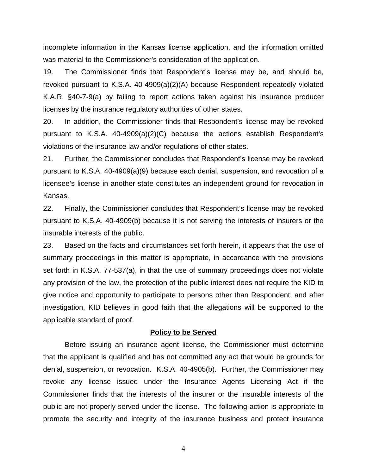incomplete information in the Kansas license application, and the information omitted was material to the Commissioner's consideration of the application.

19. The Commissioner finds that Respondent's license may be, and should be, revoked pursuant to K.S.A. 40-4909(a)(2)(A) because Respondent repeatedly violated K.A.R. §40-7-9(a) by failing to report actions taken against his insurance producer licenses by the insurance regulatory authorities of other states.

20. In addition, the Commissioner finds that Respondent's license may be revoked pursuant to K.S.A. 40-4909(a)(2)(C) because the actions establish Respondent's violations of the insurance law and/or regulations of other states.

21. Further, the Commissioner concludes that Respondent's license may be revoked pursuant to K.S.A. 40-4909(a)(9) because each denial, suspension, and revocation of a licensee's license in another state constitutes an independent ground for revocation in Kansas.

22. Finally, the Commissioner concludes that Respondent's license may be revoked pursuant to K.S.A. 40-4909(b) because it is not serving the interests of insurers or the insurable interests of the public.

23. Based on the facts and circumstances set forth herein, it appears that the use of summary proceedings in this matter is appropriate, in accordance with the provisions set forth in K.S.A. 77-537(a), in that the use of summary proceedings does not violate any provision of the law, the protection of the public interest does not require the KID to give notice and opportunity to participate to persons other than Respondent, and after investigation, KID believes in good faith that the allegations will be supported to the applicable standard of proof.

### **Policy to be Served**

Before issuing an insurance agent license, the Commissioner must determine that the applicant is qualified and has not committed any act that would be grounds for denial, suspension, or revocation. K.S.A. 40-4905(b). Further, the Commissioner may revoke any license issued under the Insurance Agents Licensing Act if the Commissioner finds that the interests of the insurer or the insurable interests of the public are not properly served under the license. The following action is appropriate to promote the security and integrity of the insurance business and protect insurance

4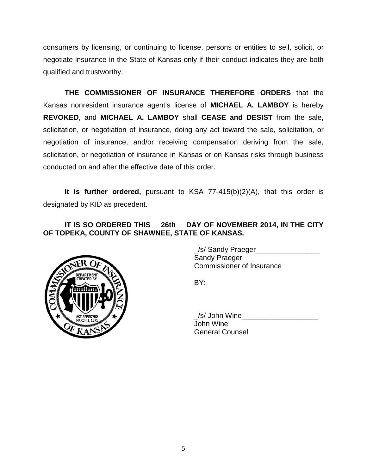consumers by licensing, or continuing to license, persons or entities to sell, solicit, or negotiate insurance in the State of Kansas only if their conduct indicates they are both qualified and trustworthy.

**THE COMMISSIONER OF INSURANCE THEREFORE ORDERS** that the Kansas nonresident insurance agent's license of **MICHAEL A. LAMBOY** is hereby **REVOKED**, and **MICHAEL A. LAMBOY** shall **CEASE and DESIST** from the sale, solicitation, or negotiation of insurance, doing any act toward the sale, solicitation, or negotiation of insurance, and/or receiving compensation deriving from the sale, solicitation, or negotiation of insurance in Kansas or on Kansas risks through business conducted on and after the effective date of this order.

**It is further ordered,** pursuant to KSA 77-415(b)(2)(A), that this order is designated by KID as precedent.

# **IT IS SO ORDERED THIS \_\_26th\_\_ DAY OF NOVEMBER 2014, IN THE CITY OF TOPEKA, COUNTY OF SHAWNEE, STATE OF KANSAS.**



\_/s/ Sandy Praeger\_\_\_\_\_\_\_\_\_\_\_\_\_\_\_\_ Sandy Praeger Commissioner of Insurance

BY:

/s/ John Wine John Wine General Counsel